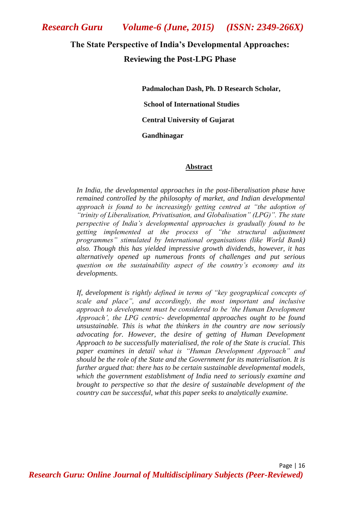#### **The State Perspective of India's Developmental Approaches:**

## **Reviewing the Post-LPG Phase**

 **Padmalochan Dash, Ph. D Research Scholar, School of International Studies Central University of Gujarat Gandhinagar**

#### **Abstract**

*In India, the developmental approaches in the post-liberalisation phase have remained controlled by the philosophy of market, and Indian developmental approach is found to be increasingly getting centred at "the adoption of "trinity of Liberalisation, Privatisation, and Globalisation" (LPG)". The state perspective of India"s developmental approaches is gradually found to be getting implemented at the process of "the structural adjustment programmes" stimulated by International organisations (like World Bank) also. Though this has yielded impressive growth dividends, however, it has alternatively opened up numerous fronts of challenges and put serious question on the sustainability aspect of the country"s economy and its developments.* 

*If, development is rightly defined in terms of "key geographical concepts of scale and place", and accordingly, the most important and inclusive approach to development must be considered to be "the Human Development Approach", the LPG centric- developmental approaches ought to be found unsustainable. This is what the thinkers in the country are now seriously advocating for. However, the desire of getting of Human Development Approach to be successfully materialised, the role of the State is crucial. This paper examines in detail what is "Human Development Approach" and should be the role of the State and the Government for its materialisation. It is further argued that: there has to be certain sustainable developmental models, which the government establishment of India need to seriously examine and brought to perspective so that the desire of sustainable development of the country can be successful, what this paper seeks to analytically examine.*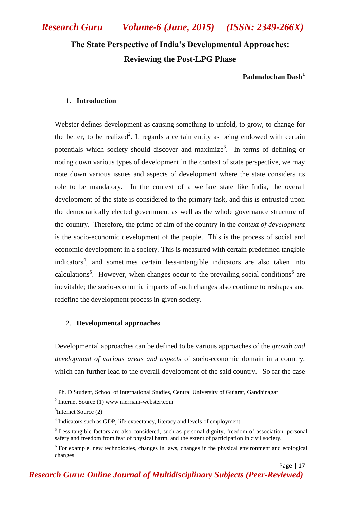# **The State Perspective of India's Developmental Approaches: Reviewing the Post-LPG Phase**

**Padmalochan Dash<sup>1</sup>**

Page | 17

#### **1. Introduction**

Webster defines development as causing something to unfold, to grow, to change for the better, to be realized<sup>2</sup>. It regards a certain entity as being endowed with certain potentials which society should discover and maximize<sup>3</sup>. In terms of defining or noting down various types of development in the context of state perspective, we may note down various issues and aspects of development where the state considers its role to be mandatory. In the context of a welfare state like India, the overall development of the state is considered to the primary task, and this is entrusted upon the democratically elected government as well as the whole governance structure of the country. Therefore, the prime of aim of the country in the *context of development* is the socio-economic development of the people. This is the process of social and economic development in a society. This is measured with certain predefined tangible indicators<sup>4</sup>, and sometimes certain less-intangible indicators are also taken into calculations<sup>5</sup>. However, when changes occur to the prevailing social conditions<sup>6</sup> are inevitable; the socio-economic impacts of such changes also continue to reshapes and redefine the development process in given society.

#### 2. **Developmental approaches**

Developmental approaches can be defined to be various approaches of the *growth and development of various areas and aspects* of socio-economic domain in a country, which can further lead to the overall development of the said country. So far the case

1

<sup>&</sup>lt;sup>1</sup> Ph. D Student, School of International Studies, Central University of Gujarat, Gandhinagar

<sup>2</sup> Internet Source (1) www.merriam-webster.com

<sup>3</sup> Internet Source (2)

<sup>&</sup>lt;sup>4</sup> Indicators such as GDP, life expectancy, literacy and levels of employment

<sup>5</sup> Less-tangible factors are also considered, such as personal dignity, freedom of association, personal safety and freedom from fear of physical harm, and the extent of participation in civil society.

<sup>&</sup>lt;sup>6</sup> For example, new technologies, changes in laws, changes in the physical environment and ecological changes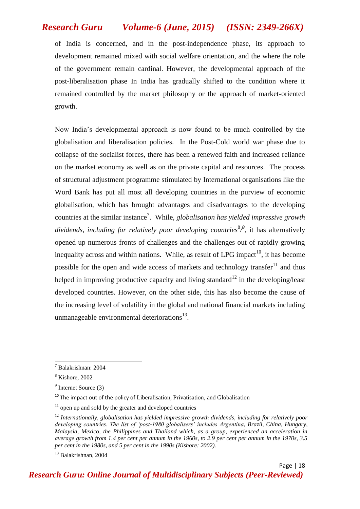of India is concerned, and in the post-independence phase, its approach to development remained mixed with social welfare orientation, and the where the role of the government remain cardinal. However, the developmental approach of the post-liberalisation phase In India has gradually shifted to the condition where it remained controlled by the market philosophy or the approach of market-oriented growth.

Now India"s developmental approach is now found to be much controlled by the globalisation and liberalisation policies. In the Post-Cold world war phase due to collapse of the socialist forces, there has been a renewed faith and increased reliance on the market economy as well as on the private capital and resources. The process of structural adjustment programme stimulated by International organisations like the Word Bank has put all most all developing countries in the purview of economic globalisation, which has brought advantages and disadvantages to the developing countries at the similar instance<sup>7</sup>. While, *globalisation has yielded impressive growth* dividends, including for relatively poor developing countries<sup>8</sup><sup>*9*</sup>, it has alternatively opened up numerous fronts of challenges and the challenges out of rapidly growing inequality across and within nations. While, as result of LPG impact<sup>10</sup>, it has become possible for the open and wide access of markets and technology transfer  $11$  and thus helped in improving productive capacity and living standard<sup>12</sup> in the developing/least developed countries. However, on the other side, this has also become the cause of the increasing level of volatility in the global and national financial markets including unmanageable environmental deteriorations $^{13}$ .

1

*Research Guru: Online Journal of Multidisciplinary Subjects (Peer-Reviewed)*

<sup>7</sup> Balakrishnan: 2004

<sup>8</sup> Kishore, 2002

<sup>&</sup>lt;sup>9</sup> Internet Source (3)

 $10$  The impact out of the policy of Liberalisation, Privatisation, and Globalisation

 $11$  open up and sold by the greater and developed countries

<sup>12</sup> *Internationally, globalisation has yielded impressive growth dividends, including for relatively poor developing countries. The list of "post-1980 globalisers" includes Argentina, Brazil, China, Hungary, Malaysia, Mexico, the Philippines and Thailand which, as a group, experienced an acceleration in average growth from 1.4 per cent per annum in the 1960s, to 2.9 per cent per annum in the 1970s, 3.5 per cent in the 1980s, and 5 per cent in the 1990s (Kishore: 2002).*

<sup>13</sup> Balakrishnan, 2004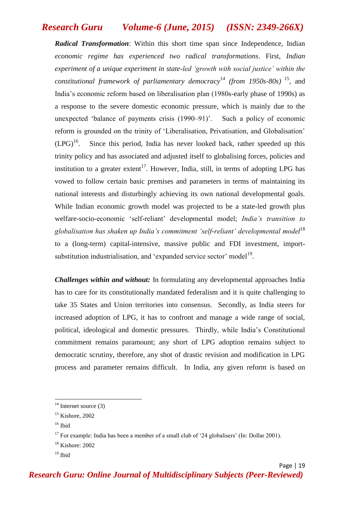*Radical Transformation*: Within this short time span since Independence, Indian *economic regime has experienced two radical transformations*. First, *Indian experiment of a unique experiment in state-led "growth with social justice" within the constitutional framework of parliamentary democracy<sup>14</sup> (from 1950s-80s)* <sup>15</sup> *,* and India"s economic reform based on liberalisation plan (1980s-early phase of 1990s) as a response to the severe domestic economic pressure, which is mainly due to the unexpected 'balance of payments crisis (1990–91)'. Such a policy of economic reform is grounded on the trinity of "Liberalisation, Privatisation, and Globalisation"  $(LPG)<sup>16</sup>$ . Since this period, India has never looked back, rather speeded up this trinity policy and has associated and adjusted itself to globalising forces, policies and institution to a greater extent<sup>17</sup>. However, India, still, in terms of adopting LPG has vowed to follow certain basic premises and parameters in terms of maintaining its national interests and disturbingly achieving its own national developmental goals. While Indian economic growth model was projected to be a state-led growth plus welfare-socio-economic "self-reliant" developmental model; *India"s transition to globalisation has shaken up India"s commitment "self-reliant" developmental model*<sup>18</sup> to a (long-term) capital-intensive, massive public and FDI investment, importsubstitution industrialisation, and 'expanded service sector' model<sup>19</sup>.

*Challenges within and without:* In formulating any developmental approaches India has to care for its constitutionally mandated federalism and it is quite challenging to take 35 States and Union territories into consensus. Secondly, as India steers for increased adoption of LPG, it has to confront and manage a wide range of social, political, ideological and domestic pressures. Thirdly, while India"s Constitutional commitment remains paramount; any short of LPG adoption remains subject to democratic scrutiny, therefore, any shot of drastic revision and modification in LPG process and parameter remains difficult. In India, any given reform is based on

 $\overline{a}$ 

 $14$  Internet source (3)

 $15$  Kishore, 2002

 $16$  Ibid

<sup>&</sup>lt;sup>17</sup> For example: India has been a member of a small club of '24 globalisers' (In: Dollar 2001).

<sup>18</sup> Kishore: 2002

 $19$  Ibid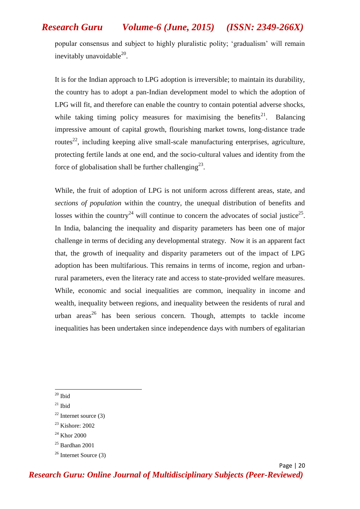popular consensus and subject to highly pluralistic polity; "gradualism" will remain inevitably unavoidable $^{20}$ .

It is for the Indian approach to LPG adoption is irreversible; to maintain its durability, the country has to adopt a pan-Indian development model to which the adoption of LPG will fit, and therefore can enable the country to contain potential adverse shocks, while taking timing policy measures for maximising the benefits<sup>21</sup>. Balancing impressive amount of capital growth, flourishing market towns, long-distance trade routes<sup>22</sup>, including keeping alive small-scale manufacturing enterprises, agriculture, protecting fertile lands at one end, and the socio-cultural values and identity from the force of globalisation shall be further challenging<sup>23</sup>.

While, the fruit of adoption of LPG is not uniform across different areas, state, and *sections of population* within the country, the unequal distribution of benefits and losses within the country<sup>24</sup> will continue to concern the advocates of social justice<sup>25</sup>. In India, balancing the inequality and disparity parameters has been one of major challenge in terms of deciding any developmental strategy. Now it is an apparent fact that, the growth of inequality and disparity parameters out of the impact of LPG adoption has been multifarious. This remains in terms of income, region and urbanrural parameters, even the literacy rate and access to state-provided welfare measures. While, economic and social inequalities are common, inequality in income and wealth, inequality between regions, and inequality between the residents of rural and urban areas<sup>26</sup> has been serious concern. Though, attempts to tackle income inequalities has been undertaken since independence days with numbers of egalitarian

**<sup>.</sup>**  $20$  Ibid

 $21$  Ibid

 $22$  Internet source (3)

<sup>23</sup> Kishore: 2002

 $^{24}$  Khor 2000

 $25$  Bardhan 2001

 $26$  Internet Source (3)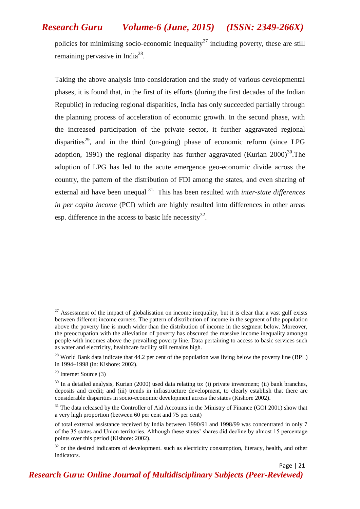policies for minimising socio-economic inequality<sup>27</sup> including poverty, these are still remaining pervasive in India<sup>28</sup>.

Taking the above analysis into consideration and the study of various developmental phases, it is found that, in the first of its efforts (during the first decades of the Indian Republic) in reducing regional disparities, India has only succeeded partially through the planning process of acceleration of economic growth. In the second phase, with the increased participation of the private sector, it further aggravated regional disparities<sup>29</sup>, and in the third (on-going) phase of economic reform (since LPG adoption, 1991) the regional disparity has further aggravated (Kurian  $2000^{30}$ . The adoption of LPG has led to the acute emergence geo-economic divide across the country, the pattern of the distribution of FDI among the states, and even sharing of external aid have been unequal 31. This has been resulted with *inter-state differences in per capita income* (PCI) which are highly resulted into differences in other areas esp. difference in the access to basic life necessity<sup>32</sup>.

**.** 

<sup>&</sup>lt;sup>27</sup> Assessment of the impact of globalisation on income inequality, but it is clear that a vast gulf exists between different income earners. The pattern of distribution of income in the segment of the population above the poverty line is much wider than the distribution of income in the segment below. Moreover, the preoccupation with the alleviation of poverty has obscured the massive income inequality amongst people with incomes above the prevailing poverty line. Data pertaining to access to basic services such as water and electricity, healthcare facility still remains high.

 $^{28}$  World Bank data indicate that 44.2 per cent of the population was living below the poverty line (BPL) in 1994–1998 (in: Kishore: 2002).

 $29$  Internet Source (3)

 $30$  In a detailed analysis, Kurian (2000) used data relating to: (i) private investment; (ii) bank branches, deposits and credit; and (iii) trends in infrastructure development, to clearly establish that there are considerable disparities in socio-economic development across the states (Kishore 2002).

<sup>&</sup>lt;sup>31</sup> The data released by the Controller of Aid Accounts in the Ministry of Finance (GOI 2001) show that a very high proportion (between 60 per cent and 75 per cent)

of total external assistance received by India between 1990/91 and 1998/99 was concentrated in only 7 of the 35 states and Union territories. Although these states" shares did decline by almost 15 percentage points over this period (Kishore: 2002).

 $32$  or the desired indicators of development. such as electricity consumption, literacy, health, and other indicators.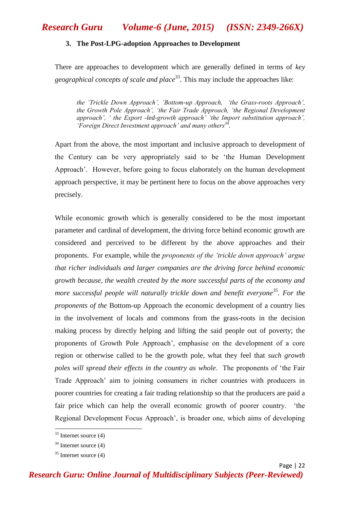#### **3. The Post-LPG-adoption Approaches to Development**

There are approaches to development which are generally defined in terms of *key*  geographical concepts of scale and place<sup>33</sup>. This may include the approaches like:

*the "Trickle Down Approach", "Bottom-up Approach, "the Grass-roots Approach", the Growth Pole Approach", "the Fair Trade Approach, "the Regional Development approach", " the Export -led-growth approach" "the Import substitution approach", "Foreign Direct Investment approach" and many others<sup>34</sup> .* 

Apart from the above, the most important and inclusive approach to development of the Century can be very appropriately said to be "the Human Development Approach". However, before going to focus elaborately on the human development approach perspective, it may be pertinent here to focus on the above approaches very precisely.

While economic growth which is generally considered to be the most important parameter and cardinal of development, the driving force behind economic growth are considered and perceived to be different by the above approaches and their proponents. For example, while the *proponents of the "trickle down approach" argue that richer individuals and larger companies are the driving force behind economic growth because, the wealth created by the more successful parts of the economy and more successful people will naturally trickle down and benefit everyone<sup>35</sup>. For the proponents of the* Bottom-up Approach the economic development of a country lies in the involvement of locals and commons from the grass-roots in the decision making process by directly helping and lifting the said people out of poverty; the proponents of Growth Pole Approach", emphasise on the development of a core region or otherwise called to be the growth pole, what they feel that *such growth poles will spread their effects in the country as whole*. The proponents of "the Fair Trade Approach" aim to joining consumers in richer countries with producers in poorer countries for creating a fair trading relationship so that the producers are paid a fair price which can help the overall economic growth of poorer country. "the Regional Development Focus Approach", is broader one, which aims of developing

**.** 

 $33$  Internet source (4)

 $34$  [Internet source \(4\)](http://www.slideshare.net/ecumene/approaches-to-development)

 $35$  Internet source (4)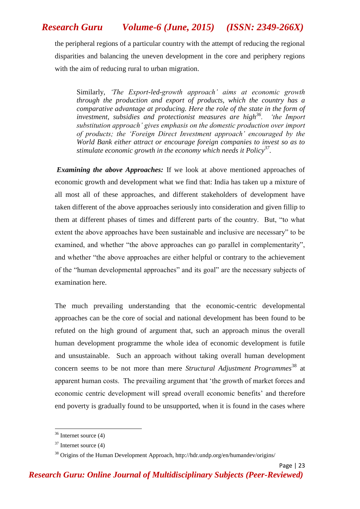the peripheral regions of a particular country with the attempt of reducing the regional disparities and balancing the uneven development in the core and periphery regions with the aim of reducing rural to urban migration.

Similarly, *"The Export-led-growth approach" aims at economic growth through the production and export of products, which the country has a comparative advantage at producing. Here the role of the state in the form of investment, subsidies and protectionist measures are high<sup>36</sup>. "the Import substitution approach" gives emphasis on the domestic production over import of products; the "Foreign Direct Investment approach" encouraged by the World Bank either attract or encourage foreign companies to invest so as to stimulate economic growth in the economy which needs it Policy<sup>37</sup> .*

*Examining the above Approaches:* If we look at above mentioned approaches of economic growth and development what we find that: India has taken up a mixture of all most all of these approaches, and different stakeholders of development have taken different of the above approaches seriously into consideration and given fillip to them at different phases of times and different parts of the country. But, "to what extent the above approaches have been sustainable and inclusive are necessary" to be examined, and whether "the above approaches can go parallel in complementarity", and whether "the above approaches are either helpful or contrary to the achievement of the "human developmental approaches" and its goal" are the necessary subjects of examination here.

The much prevailing understanding that the economic-centric developmental approaches can be the core of social and national development has been found to be refuted on the high ground of argument that, such an approach minus the overall human development programme the whole idea of economic development is futile and unsustainable. Such an approach without taking overall human development concern seems to be not more than mere *Structural Adjustment Programmes*<sup>38</sup> at apparent human costs. The prevailing argument that "the growth of market forces and economic centric development will spread overall economic benefits" and therefore end poverty is gradually found to be unsupported, when it is found in the cases where

**.** 

 $36$  Internet source (4)

 $37$  Internet source (4)

<sup>38</sup> Origins of the Human Development Approach, http://hdr.undp.org/en/humandev/origins/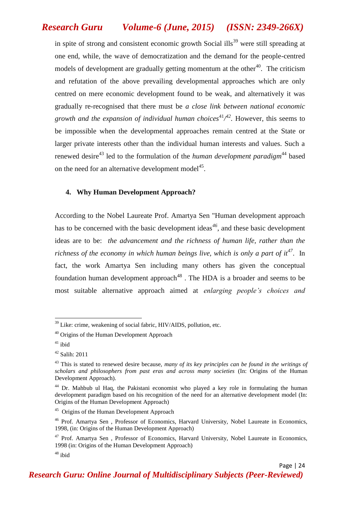in spite of strong and consistent economic growth Social ills<sup>39</sup> were still spreading at one end, while, the wave of democratization and the demand for the people-centred models of development are gradually getting momentum at the other<sup>40</sup>. The criticism and refutation of the above prevailing developmental approaches which are only centred on mere economic development found to be weak, and alternatively it was gradually re-recognised that there must be *a close link between national economic growth and the expansion of individual human choices*<sup>41</sup>/<sup>42</sup>. However, this seems to be impossible when the developmental approaches remain centred at the State or larger private interests other than the individual human interests and values. Such a renewed desire<sup>43</sup> led to the formulation of the *human development paradigm*<sup>44</sup> based on the need for an alternative development model $45$ .

#### **4. Why Human Development Approach?**

According to the Nobel Laureate Prof. Amartya Sen "Human development approach has to be concerned with the basic development ideas<sup>46</sup>, and these basic development ideas are to be: *the advancement and the richness of human life, rather than the richness of the economy in which human beings live, which is only a part of it<sup>47</sup>*. In fact, the work Amartya Sen including many others has given the conceptual foundation human development approach<sup>48</sup>. The HDA is a broader and seems to be most suitable alternative approach aimed at *enlarging people"s choices and* 

1

 $39$  Like: crime, weakening of social fabric, HIV/AIDS, pollution, etc.

<sup>40</sup> Origins of the Human Development Approach

 $41$  ibid

<sup>42</sup> Salih: 2011

<sup>&</sup>lt;sup>43</sup> This is stated to renewed desire because, *many of its key principles can be found in the writings of scholars and philosophers from past eras and across many societies* (In: Origins of the Human Development Approach).

 $44$  Dr. Mahbub ul Haq, the Pakistani economist who played a key role in formulating the human development paradigm based on his recognition of the need for an alternative development model (In: Origins of the Human Development Approach)

<sup>&</sup>lt;sup>45</sup> Origins of the Human Development Approach

<sup>46</sup> Prof. Amartya Sen , Professor of Economics, Harvard University, Nobel Laureate in Economics, 1998, (in: Origins of the Human Development Approach)

<sup>&</sup>lt;sup>47</sup> Prof. Amartya Sen, Professor of Economics, Harvard University, Nobel Laureate in Economics, 1998 (in: Origins of the Human Development Approach)

 $48$  ibid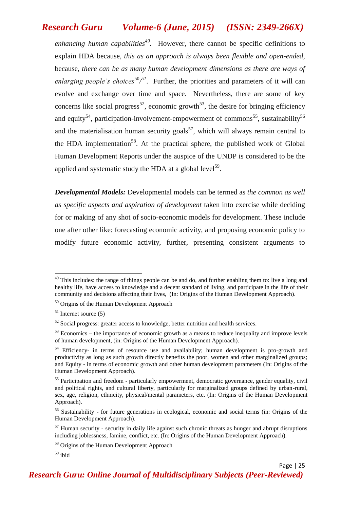*enhancing human capabilities<sup>49</sup> .* However, there cannot be specific definitions to explain HDA because, *this as an approach is always been flexible and open-ended,*  because, *there can be as many human development dimensions as there are ways of enlarging people's choices*<sup>50</sup><sup>51</sup>. Further, the priorities and parameters of it will can evolve and exchange over time and space. Nevertheless, there are some of key concerns like social progress<sup>52</sup>, economic growth<sup>53</sup>, the desire for bringing efficiency and equity<sup>54</sup>, participation-involvement-empowerment of commons<sup>55</sup>, sustainability<sup>56</sup> and the materialisation human security goals<sup>57</sup>, which will always remain central to the HDA implementation<sup>58</sup>. At the practical sphere, the published work of Global Human Development Reports under the auspice of the UNDP is considered to be the applied and systematic study the HDA at a global level<sup>59</sup>.

*Developmental Models:* Developmental models can be termed as *the common as well as specific aspects and aspiration of development* taken into exercise while deciding for or making of any shot of socio-economic models for development. These include one after other like: forecasting economic activity, and proposing economic policy to modify future economic activity, further, presenting consistent arguments to

1

 $49$  This includes: the range of things people can be and do, and further enabling them to: live a long and healthy life, have access to knowledge and a decent standard of living, and participate in the life of their community and decisions affecting their lives, (In: Origins of the Human Development Approach).

<sup>&</sup>lt;sup>50</sup> Origins of the Human Development Approach

 $51$  Internet source (5)

 $52$  Social progress: greater access to knowledge, better nutrition and health services.

 $53$  Economics – the importance of economic growth as a means to reduce inequality and improve levels of human development, (in: Origins of the Human Development Approach).

<sup>&</sup>lt;sup>54</sup> Efficiency- in terms of resource use and availability; human development is pro-growth and productivity as long as such growth directly benefits the poor, women and other marginalized groups; and Equity - in terms of economic growth and other human development parameters (In: Origins of the Human Development Approach).

<sup>&</sup>lt;sup>55</sup> Participation and freedom - particularly empowerment, democratic governance, gender equality, civil and political rights, and cultural liberty, particularly for marginalized groups defined by urban-rural, sex, age, religion, ethnicity, physical/mental parameters, etc. (In: Origins of the Human Development Approach).

<sup>56</sup> Sustainability - for future generations in ecological, economic and social terms (in: Origins of the Human Development Approach).

 $57$  Human security - security in daily life against such chronic threats as hunger and abrupt disruptions including joblessness, famine, conflict, etc. (In: Origins of the Human Development Approach).

<sup>58</sup> Origins of the Human Development Approach

 $59$  ibid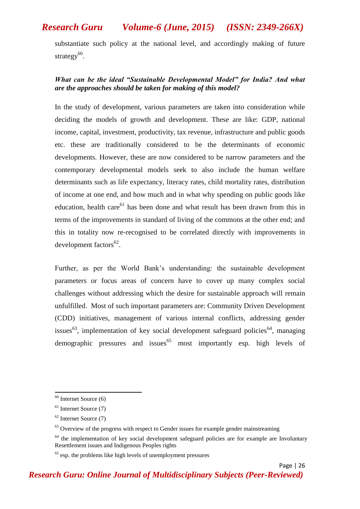substantiate such policy at the national level, and accordingly making of future strategy<sup>60</sup>.

#### *What can be the ideal "Sustainable Developmental Model" for India? And what are the approaches should be taken for making of this model?*

In the study of development, various parameters are taken into consideration while deciding the models of growth and development. These are like: GDP, national income, capital, investment, productivity, tax revenue, infrastructure and public goods etc. these are traditionally considered to be the determinants of economic developments. However, these are now considered to be narrow parameters and the contemporary developmental models seek to also include the human welfare determinants such as life expectancy, literacy rates, child mortality rates, distribution of income at one end, and how much and in what why spending on public goods like education, health care<sup>61</sup> has been done and what result has been drawn from this in terms of the improvements in standard of living of the commons at the other end; and this in totality now re-recognised to be correlated directly with improvements in development factors<sup>62</sup>.

Further, as per the World Bank"s understanding: the sustainable development parameters or focus areas of concern have to cover up many complex social challenges without addressing which the desire for sustainable approach will remain unfulfilled. Most of such important parameters are: Community Driven Development (CDD) initiatives, management of various internal conflicts, addressing gender issues<sup>63</sup>, implementation of key social development safeguard policies<sup>64</sup>, managing demographic pressures and issues<sup>65</sup> most importantly esp. high levels of

**.** 

 $60$  Internet Source  $(6)$ 

 $61$  Internet Source (7)

 $62$  Internet Source (7)

 $63$  Overview of the progress with respect to Gender issues for example gender mainstreaming

 $64$  the implementation of key social development safeguard policies are for example are Involuntary Resettlement issues and Indigenous Peoples rights

 $65$  esp. the problems like high levels of unemployment pressures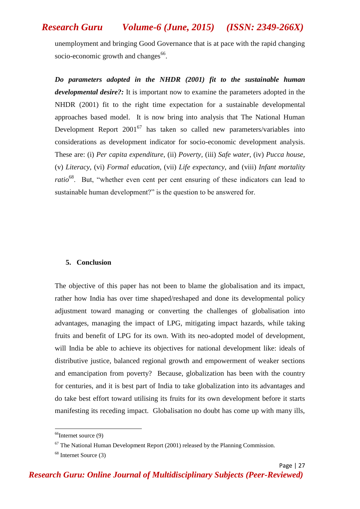unemployment and bringing Good Governance that is at pace with the rapid changing socio-economic growth and changes<sup>66</sup>.

*Do parameters adopted in the NHDR (2001) fit to the sustainable human developmental desire?:* It is important now to examine the parameters adopted in the NHDR (2001) fit to the right time expectation for a sustainable developmental approaches based model. It is now bring into analysis that The National Human Development Report  $2001^{67}$  has taken so called new parameters/variables into considerations as development indicator for socio-economic development analysis. These are: (i) *Per capita expenditure*, (ii) *Poverty,* (iii) *Safe water*, (iv) *Pucca house*, (v) *Literacy*, (vi) *Formal education*, (vii) *Life expectancy*, and (viii) *Infant mortality ratio*<sup>68</sup>. But, "whether even cent per cent ensuring of these indicators can lead to sustainable human development?" is the question to be answered for.

#### **5. Conclusion**

The objective of this paper has not been to blame the globalisation and its impact, rather how India has over time shaped/reshaped and done its developmental policy adjustment toward managing or converting the challenges of globalisation into advantages, managing the impact of LPG, mitigating impact hazards, while taking fruits and benefit of LPG for its own. With its neo-adopted model of development, will India be able to achieve its objectives for national development like: ideals of distributive justice, balanced regional growth and empowerment of weaker sections and emancipation from poverty? Because, globalization has been with the country for centuries, and it is best part of India to take globalization into its advantages and do take best effort toward utilising its fruits for its own development before it starts manifesting its receding impact. Globalisation no doubt has come up with many ills,

**.** 

 $66$ Internet source (9)

 $67$  The National Human Development Report (2001) released by the Planning Commission.

<sup>68</sup> Internet Source (3)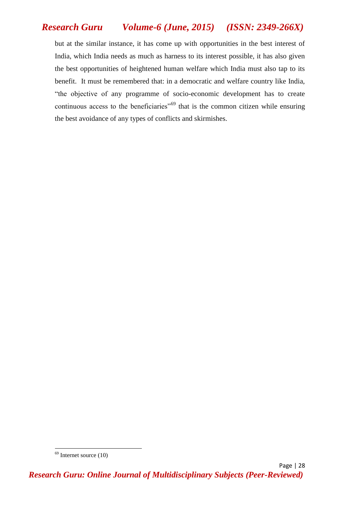but at the similar instance, it has come up with opportunities in the best interest of India, which India needs as much as harness to its interest possible, it has also given the best opportunities of heightened human welfare which India must also tap to its benefit. It must be remembered that: in a democratic and welfare country like India, "the objective of any programme of socio-economic development has to create continuous access to the beneficiaries<sup>"69</sup> that is the common citizen while ensuring the best avoidance of any types of conflicts and skirmishes.

**.** 

 $69$  Internet source  $(10)$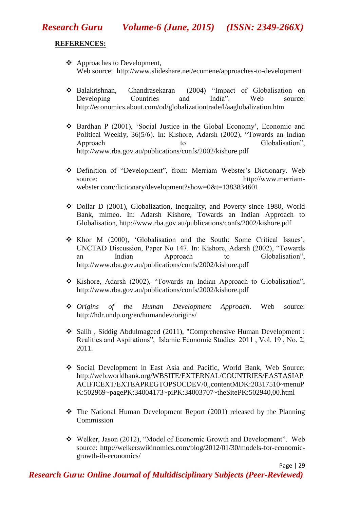### **REFERENCES:**

- Approaches to Development, Web source: <http://www.slideshare.net/ecumene/approaches-to-development>
- Balakrishnan, Chandrasekaran (2004) "Impact of Globalisation on Developing Countries and India". Web source: <http://economics.about.com/od/globalizationtrade/l/aaglobalization.htm>
- \* Bardhan P (2001), 'Social Justice in the Global Economy', Economic and Political Weekly, 36(5/6). In: Kishore, Adarsh (2002), "Towards an Indian Approach to Globalisation", <http://www.rba.gov.au/publications/confs/2002/kishore.pdf>
- Definition of "Development", from: Merriam Webster"s Dictionary. Web source:<br>[http://www.merriam](http://www.merriam-webster.com/dictionary/development?show=0&t=1383834601)[webster.com/dictionary/development?show=0&t=1383834601](http://www.merriam-webster.com/dictionary/development?show=0&t=1383834601)
- Dollar D (2001), Globalization, Inequality, and Poverty since 1980, World Bank, mimeo. In: Adarsh Kishore, Towards an Indian Approach to Globalisation,<http://www.rba.gov.au/publications/confs/2002/kishore.pdf>
- Khor M (2000), "Globalisation and the South: Some Critical Issues", UNCTAD Discussion, Paper No 147. In: Kishore, Adarsh (2002), "Towards an Indian Approach to Globalisation", <http://www.rba.gov.au/publications/confs/2002/kishore.pdf>
- \* Kishore, Adarsh (2002), "Towards an Indian Approach to Globalisation", <http://www.rba.gov.au/publications/confs/2002/kishore.pdf>
- *Origins of the Human Development Approach*. Web source: <http://hdr.undp.org/en/humandev/origins/>
- Salih , Siddig Abdulmageed (2011), "Comprehensive Human Development : Realities and Aspirations", Islamic Economic Studies 2011 , Vol. 19 , No. 2, 2011.
- Social Development in East Asia and Pacific, World Bank, Web Source: [http://web.worldbank.org/WBSITE/EXTERNAL/COUNTRIES/EASTASIAP](http://web.worldbank.org/WBSITE/EXTERNAL/COUNTRIES/EASTASIAPACIFICEXT/EXTEAPREGTOPSOCDEV/0,,contentMDK:20317510~menuPK:502969~pagePK:34004173~piPK:34003707~theSitePK:502940,00.html) [ACIFICEXT/EXTEAPREGTOPSOCDEV/0,,contentMDK:20317510~menuP](http://web.worldbank.org/WBSITE/EXTERNAL/COUNTRIES/EASTASIAPACIFICEXT/EXTEAPREGTOPSOCDEV/0,,contentMDK:20317510~menuPK:502969~pagePK:34004173~piPK:34003707~theSitePK:502940,00.html) [K:502969~pagePK:34004173~piPK:34003707~theSitePK:502940,00.html](http://web.worldbank.org/WBSITE/EXTERNAL/COUNTRIES/EASTASIAPACIFICEXT/EXTEAPREGTOPSOCDEV/0,,contentMDK:20317510~menuPK:502969~pagePK:34004173~piPK:34003707~theSitePK:502940,00.html)
- The National Human Development Report (2001) released by the Planning Commission
- Welker, Jason (2012), "Model of Economic Growth and Development". Web source: [http://welkerswikinomics.com/blog/2012/01/30/models-for-economic](http://welkerswikinomics.com/blog/2012/01/30/models-for-economic-growth-ib-economics/)[growth-ib-economics/](http://welkerswikinomics.com/blog/2012/01/30/models-for-economic-growth-ib-economics/)